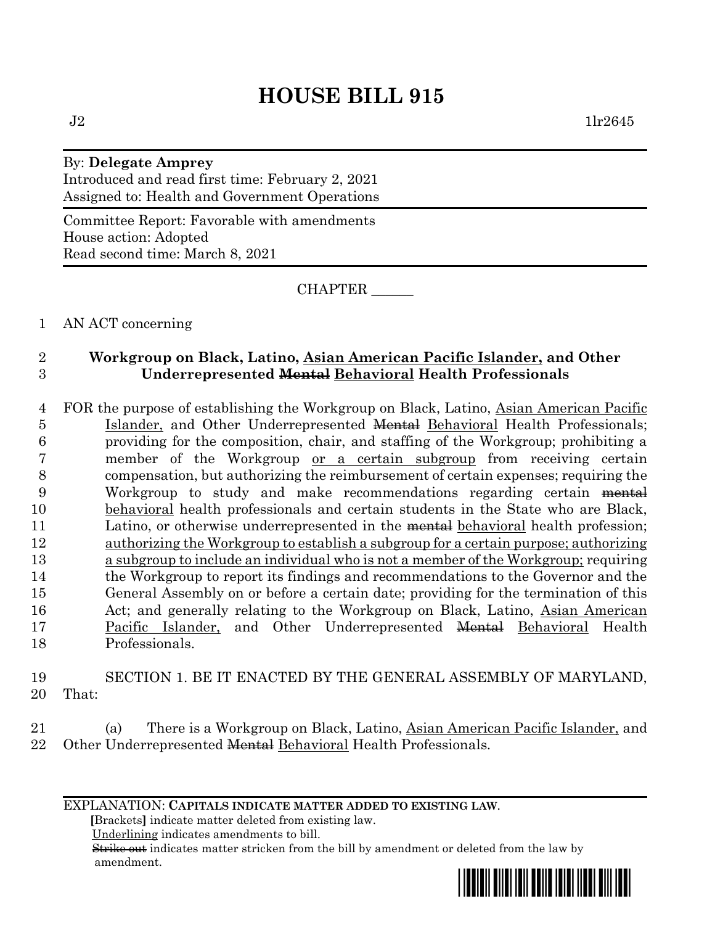# **HOUSE BILL 915**

## By: **Delegate Amprey** Introduced and read first time: February 2, 2021 Assigned to: Health and Government Operations

Committee Report: Favorable with amendments House action: Adopted Read second time: March 8, 2021

CHAPTER \_\_\_\_\_\_

## 1 AN ACT concerning

## 2 **Workgroup on Black, Latino, Asian American Pacific Islander, and Other**  3 **Underrepresented Mental Behavioral Health Professionals**

 FOR the purpose of establishing the Workgroup on Black, Latino, Asian American Pacific 5 Islander, and Other Underrepresented **Mental** Behavioral Health Professionals; providing for the composition, chair, and staffing of the Workgroup; prohibiting a member of the Workgroup or a certain subgroup from receiving certain compensation, but authorizing the reimbursement of certain expenses; requiring the Workgroup to study and make recommendations regarding certain mental behavioral health professionals and certain students in the State who are Black, 11 Latino, or otherwise underrepresented in the mental behavioral health profession; authorizing the Workgroup to establish a subgroup for a certain purpose; authorizing a subgroup to include an individual who is not a member of the Workgroup; requiring the Workgroup to report its findings and recommendations to the Governor and the General Assembly on or before a certain date; providing for the termination of this 16 Act; and generally relating to the Workgroup on Black, Latino, Asian American 17 Pacific Islander, and Other Underrepresented <del>Mental</del> Behavioral Health Professionals.

#### 19 SECTION 1. BE IT ENACTED BY THE GENERAL ASSEMBLY OF MARYLAND, 20 That:

21 (a) There is a Workgroup on Black, Latino, Asian American Pacific Islander, and 22 Other Underrepresented Mental Behavioral Health Professionals.

#### EXPLANATION: **CAPITALS INDICATE MATTER ADDED TO EXISTING LAW**.

 **[**Brackets**]** indicate matter deleted from existing law.

Underlining indicates amendments to bill.

 Strike out indicates matter stricken from the bill by amendment or deleted from the law by amendment.

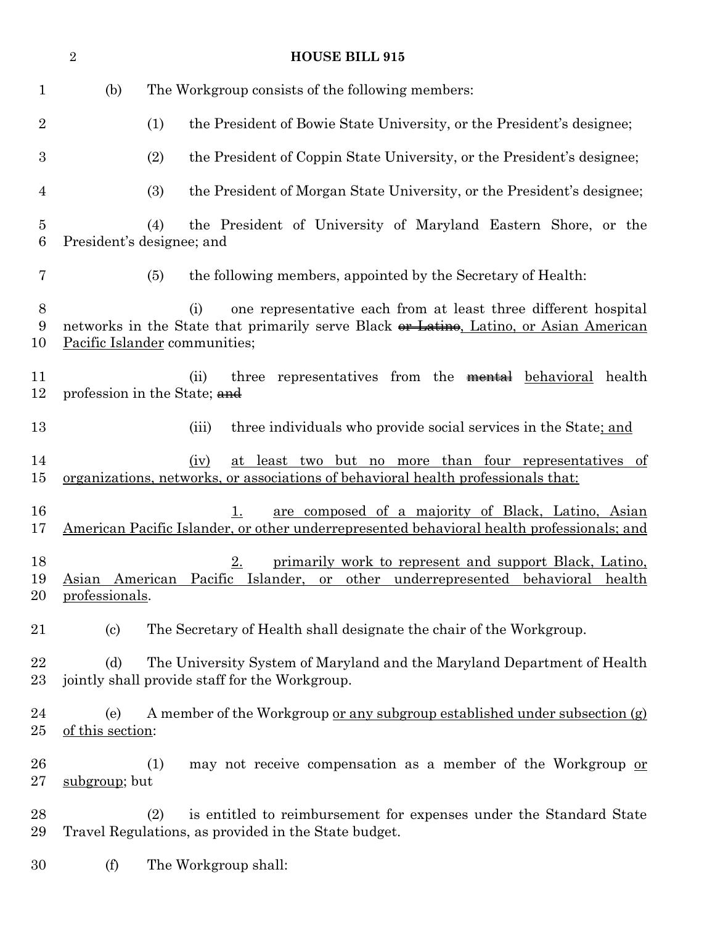| $\sqrt{2}$<br><b>HOUSE BILL 915</b> |                            |                                                                                                                                                                                                        |
|-------------------------------------|----------------------------|--------------------------------------------------------------------------------------------------------------------------------------------------------------------------------------------------------|
| $\mathbf{1}$                        | (b)                        | The Workgroup consists of the following members:                                                                                                                                                       |
| $\overline{2}$                      |                            | (1)<br>the President of Bowie State University, or the President's designee;                                                                                                                           |
| $\boldsymbol{3}$                    |                            | (2)<br>the President of Coppin State University, or the President's designee;                                                                                                                          |
| $\overline{4}$                      |                            | (3)<br>the President of Morgan State University, or the President's designee;                                                                                                                          |
| $\overline{5}$<br>6                 |                            | the President of University of Maryland Eastern Shore, or the<br>(4)<br>President's designee; and                                                                                                      |
| 7                                   |                            | the following members, appointed by the Secretary of Health:<br>(5)                                                                                                                                    |
| $8\,$<br>$\boldsymbol{9}$<br>10     |                            | one representative each from at least three different hospital<br>(i)<br>networks in the State that primarily serve Black or Latino, Latino, or Asian American<br><b>Pacific Islander communities;</b> |
| 11<br>12                            |                            | three representatives from the mental behavioral health<br>(ii)<br>profession in the State; and                                                                                                        |
| 13                                  |                            | three individuals who provide social services in the State; and<br>(iii)                                                                                                                               |
| 14<br>15                            |                            | at least two but no more than four representatives of<br>(iv)<br>organizations, networks, or associations of behavioral health professionals that:                                                     |
| 16<br>17                            |                            | are composed of a majority of Black, Latino, Asian<br>1.<br>American Pacific Islander, or other underrepresented behavioral health professionals; and                                                  |
| 18<br>19<br>20                      | professionals.             | 2.<br>primarily work to represent and support Black, Latino,<br>Asian American Pacific Islander, or other underrepresented behavioral health                                                           |
| 21                                  | $\left( \mathrm{c}\right)$ | The Secretary of Health shall designate the chair of the Workgroup.                                                                                                                                    |
| 22<br>23                            | (d)                        | The University System of Maryland and the Maryland Department of Health<br>jointly shall provide staff for the Workgroup.                                                                              |
| 24<br>25                            | (e)<br>of this section:    | A member of the Workgroup <u>or any subgroup established under subsection</u> (g)                                                                                                                      |
| 26<br>27                            | subgroup; but              | (1)<br>may not receive compensation as a member of the Workgroup or                                                                                                                                    |
| 28<br>29                            |                            | is entitled to reimbursement for expenses under the Standard State<br>(2)<br>Travel Regulations, as provided in the State budget.                                                                      |
| 30                                  | (f)                        | The Workgroup shall:                                                                                                                                                                                   |